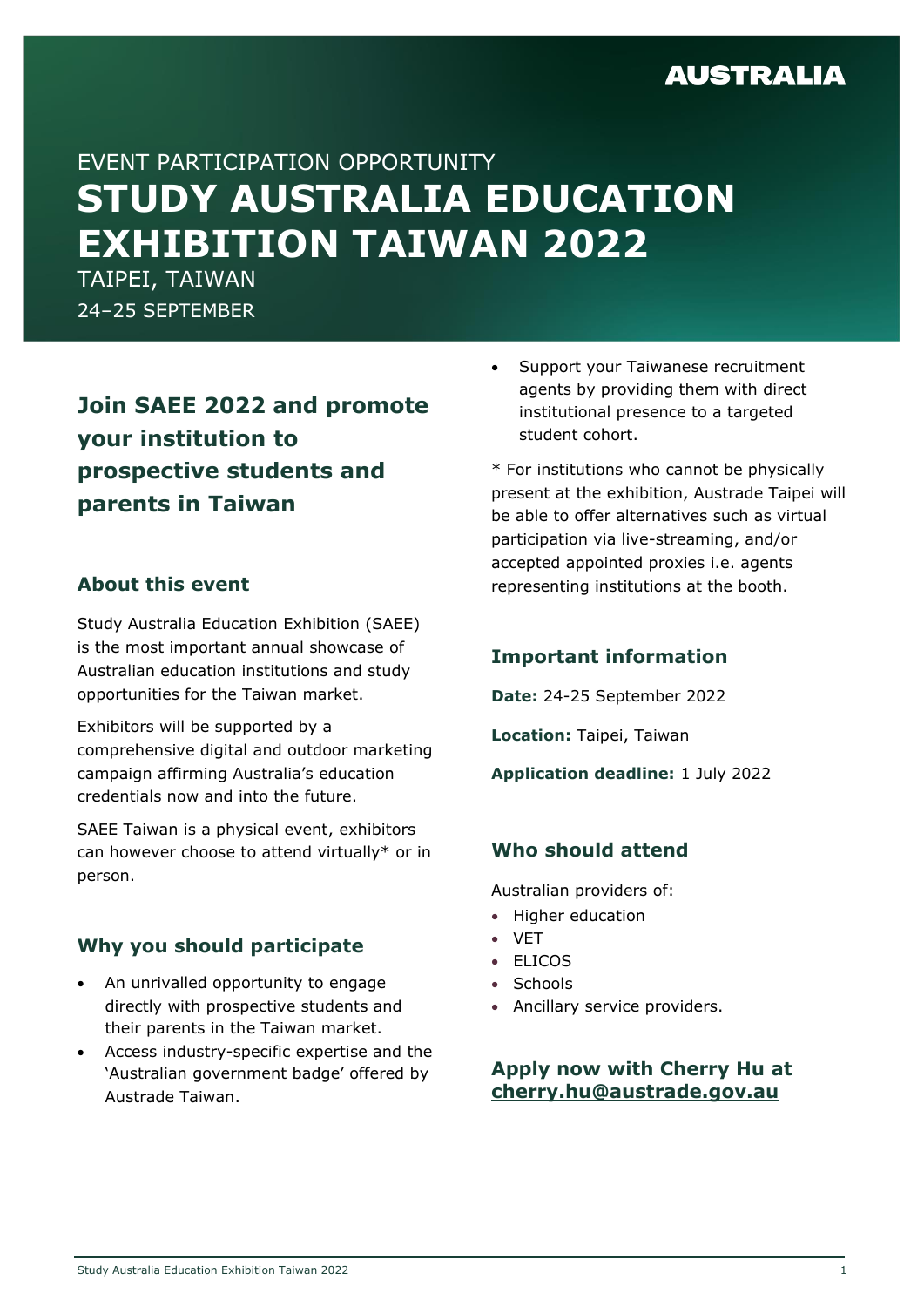# **AUSTRALIA**

# EVENT PARTICIPATION OPPORTUNITY **STUDY AUSTRALIA EDUCATION EXHIBITION TAIWAN 2022**

TAIPEI, TAIWAN 24–25 SEPTEMBER

**Join SAEE 2022 and promote your institution to prospective students and parents in Taiwan**

#### **About this event**

Study Australia Education Exhibition (SAEE) is the most important annual showcase of Australian education institutions and study opportunities for the Taiwan market.

Exhibitors will be supported by a comprehensive digital and outdoor marketing campaign affirming Australia's education credentials now and into the future.

SAEE Taiwan is a physical event, exhibitors can however choose to attend virtually\* or in person.

## **Why you should participate**

- An unrivalled opportunity to engage directly with prospective students and their parents in the Taiwan market.
- Access industry-specific expertise and the 'Australian government badge' offered by Austrade Taiwan.

• Support your Taiwanese recruitment agents by providing them with direct institutional presence to a targeted student cohort.

\* For institutions who cannot be physically present at the exhibition, Austrade Taipei will be able to offer alternatives such as virtual participation via live-streaming, and/or accepted appointed proxies i.e. agents representing institutions at the booth.

## **Important information**

**Date:** 24-25 September 2022

**Location:** Taipei, Taiwan

**Application deadline:** 1 July 2022

## **Who should attend**

Australian providers of:

- Higher education
- VET
- ELICOS
- Schools
- Ancillary service providers.

**Apply now with Cherry Hu at [cherry.hu@austrade.gov.au](https://austrade.sharepoint.com/sites/taipei/Shared%20Documents/General/Taipei%20ShareFolder/Projects,%20Presentations%20&%20Speeches/Education/SAEE%20Taiwan%202022/Event%20Brochure/cherry.hu@austrade.gov.au)**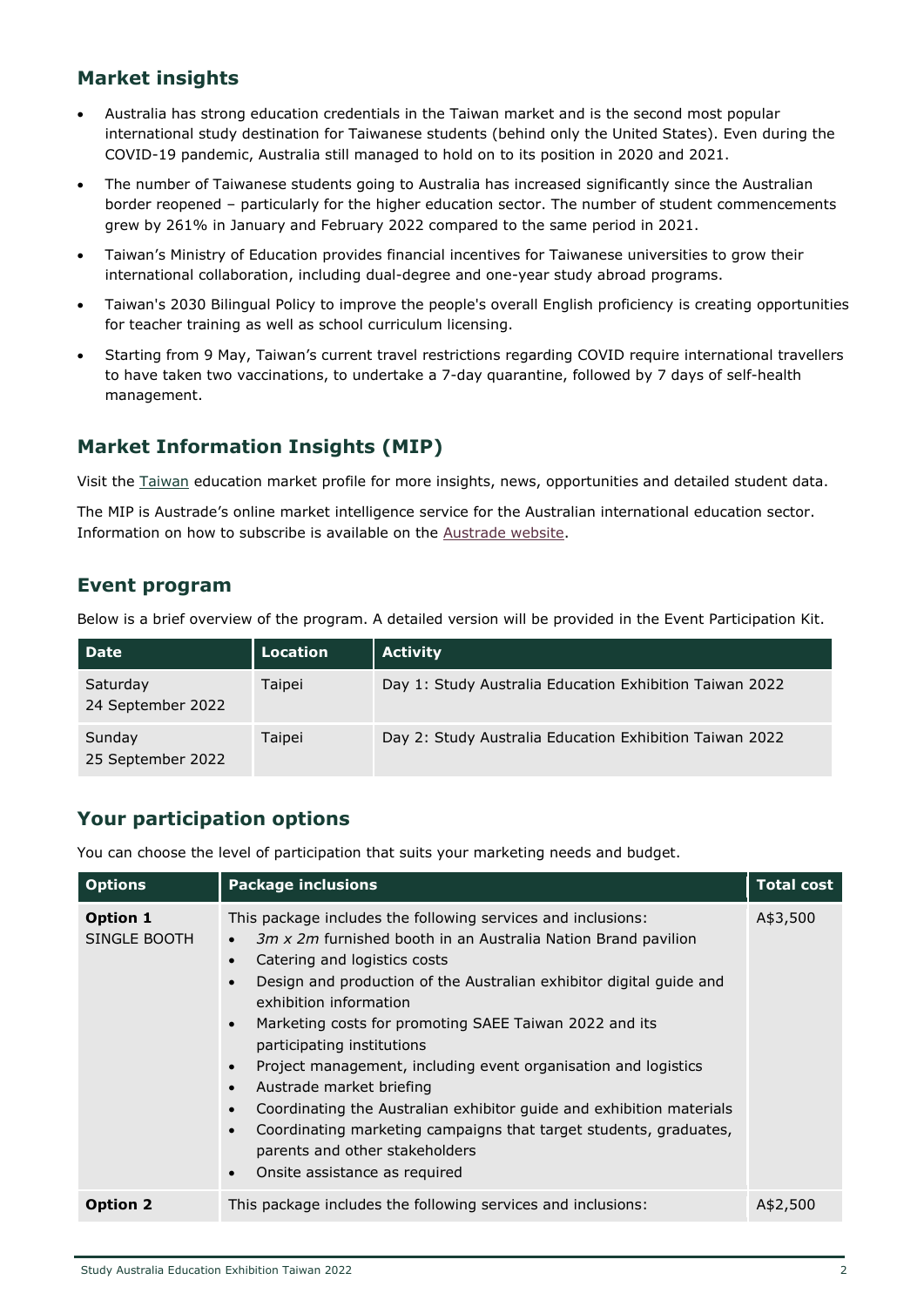#### **Market insights**

- Australia has strong education credentials in the Taiwan market and is the second most popular international study destination for Taiwanese students (behind only the United States). Even during the COVID-19 pandemic, Australia still managed to hold on to its position in 2020 and 2021.
- The number of Taiwanese students going to Australia has increased significantly since the Australian border reopened – particularly for the higher education sector. The number of student commencements grew by 261% in January and February 2022 compared to the same period in 2021.
- Taiwan's Ministry of Education provides financial incentives for Taiwanese universities to grow their international collaboration, including dual-degree and one-year study abroad programs.
- Taiwan's 2030 Bilingual Policy to improve the people's overall English proficiency is creating opportunities for teacher training as well as school curriculum licensing.
- Starting from 9 May, Taiwan's current travel restrictions regarding COVID require international travellers to have taken two vaccinations, to undertake a 7-day quarantine, followed by 7 days of self-health management.

# **Market Information Insights (MIP)**

Visit the [Taiwan](https://www.austrade.gov.au/Australian/Education/Countries/Taiwan) education market profile for more insights, news, opportunities and detailed student data.

The MIP is Austrade's online market intelligence service for the Australian international education sector. Information on how to subscribe is available on the [Austrade website.](http://www.austrade.gov.au/Australian/Education/Services/Market-Information-Package)

## **Event program**

Below is a brief overview of the program. A detailed version will be provided in the Event Participation Kit.

| <b>Date</b>                   | Location | Activity                                                |
|-------------------------------|----------|---------------------------------------------------------|
| Saturday<br>24 September 2022 | Taipei   | Day 1: Study Australia Education Exhibition Taiwan 2022 |
| Sunday<br>25 September 2022   | Taipei   | Day 2: Study Australia Education Exhibition Taiwan 2022 |

## **Your participation options**

You can choose the level of participation that suits your marketing needs and budget.

| <b>Options</b>                  | <b>Package inclusions</b>                                                                                                                                                                                                                                                                                                                                                                                                                                                                                                                                                                                                                                                                                                                          | <b>Total cost</b> |
|---------------------------------|----------------------------------------------------------------------------------------------------------------------------------------------------------------------------------------------------------------------------------------------------------------------------------------------------------------------------------------------------------------------------------------------------------------------------------------------------------------------------------------------------------------------------------------------------------------------------------------------------------------------------------------------------------------------------------------------------------------------------------------------------|-------------------|
| <b>Option 1</b><br>SINGLE BOOTH | This package includes the following services and inclusions:<br>3m x 2m furnished booth in an Australia Nation Brand pavilion<br>$\bullet$<br>Catering and logistics costs<br>Design and production of the Australian exhibitor digital guide and<br>$\bullet$<br>exhibition information<br>Marketing costs for promoting SAEE Taiwan 2022 and its<br>$\bullet$<br>participating institutions<br>Project management, including event organisation and logistics<br>Austrade market briefing<br>$\bullet$<br>Coordinating the Australian exhibitor guide and exhibition materials<br>Coordinating marketing campaigns that target students, graduates,<br>$\bullet$<br>parents and other stakeholders<br>Onsite assistance as required<br>$\bullet$ | A\$3,500          |
| <b>Option 2</b>                 | This package includes the following services and inclusions:                                                                                                                                                                                                                                                                                                                                                                                                                                                                                                                                                                                                                                                                                       | A\$2,500          |